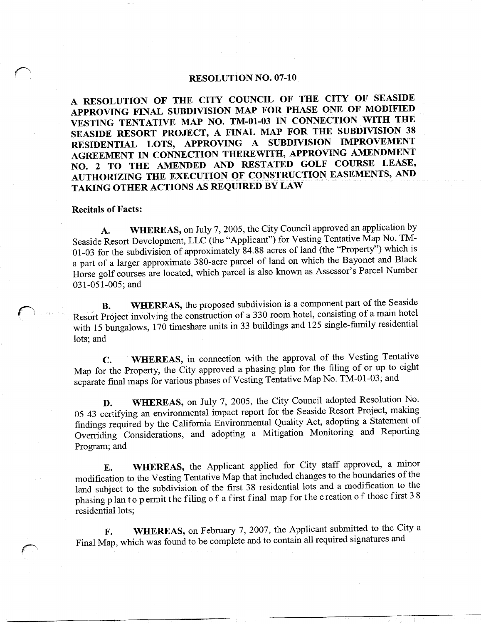#### RESOLUTION NO. 07-10

A RESOLUTION OF THE CITY COUNCIL OF THE CITY OF SEASIDE APPROVING FINAL SUBDIVISION MAP FOR PHASE ONE OF MODIFIED A RESOLUTION OF THE CITY COUNCIL OF THE CITY OF SEASIDE<br>APPROVING FINAL SUBDIVISION MAP FOR PHASE ONE OF MODIFIED<br>VESTING TENTATIVE MAP NO. TM-01-03 IN CONNECTION WITH THE<br>SEASIDE PESOPT PROJECT A FINAL MAP FOR THE SUBDIVI VESTING TENTATIVE MAP NO. TM-01-03 IN CONNECTION WITH THE SEASIDE RESORT PROJECT, A FINAL MAP FOR THE SUBDIVISION 38 RESIDENTIAL LOTS, APPROVING A SUBDIVISION IMPROVEMENT AGREEMENT IN CONNECTION THEREWITH, APPROVING AMENDMENT NO. 2 TO THE AMENDED AND RESTATED GOLF COURSE LEASE, AUTHORIZING THE EXECUTION OF CONSTRUCTION EASEMENTS, AND TAKING OTHER ACTIONS AS REQUIRED BY LAW

#### **Recitals of Facts:**

A. WHEREAS, on July 7, 2005, the City Council approved an application by Seaside Resort Development, LLC (the "Applicant") for Vesting Tentative Map No. TM-01-03 for the subdivision of approximately 84.88 acres of land (the "Property") which is 01-03 for the subdivision of approximately 84.88 acres of land (the Froperty) which is<br>a part of a larger approximate 380-acre parcel of land on which the Bayonet and Black A. WHEREAS, on July 7, 2005, the City Council approved an application by<br>Seaside Resort Development, LLC (the "Applicant") for Vesting Tentative Map No. TM-<br>01-03 for the subdivision of approximately 84.88 acres of land (t Horse golf courses are located, which parcel is also known as Assessor's Parcel Number 031-051-005; and

**B.** WHEREAS, the proposed subdivision is a component part of the Seaside B. WHEREAS, the proposed subdivision is a component part of the Seaside<br>Resort Project involving the construction of a 330 room hotel, consisting of a main hotel with 15 bungalows,  $170$  timeshare units in 33 buildings and 125 single-family residential lots; and

C. WHEREAS, in connection with the approval of the Vesting Tentative Map for the Property, the City approved a phasing plan for the filing of or up to eight C. WHEREAS, in connection with the approval of the Vesting Tent<br>Map for the Property, the City approved a phasing plan for the filing of or up to<br>separate final maps for various phases of Vesting Tentative Map No. TM-01-03

D. WHEREAS, on July 7, 2005, the City Council adopted Resolution No. 05-43 certifying an environmental impact report for the Seaside Resort Project, making findings required by the California Environmental Quality Act, adopting a Statement of Overriding Considerations, and adopting a Mitigation Monitoring and Reporting Program; and

E. WHEREAS, the Applicant applied for City staff approved, a minor modification to the Vesting Tentative Map that included changes to the boundaries of the land subject to the subdivision of the first 38 residential lots and a modification to the land subject to the subdivision of the first 38 residential lots and a modification to the<br>phasing p lan to permit the filing of a first final map for the creation of those first 38 residential lots

F. WHEREAS, on February 7, 2007, the Applicant submitted to the City a Final Map, which was found to be complete and to contain all required signatures and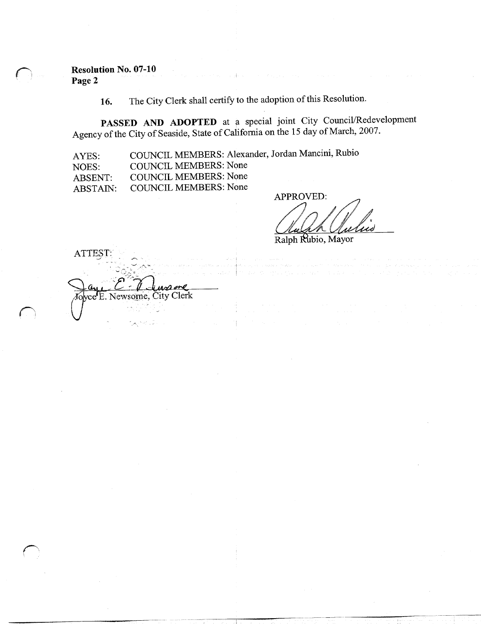Resolution No. 07-10 Page 2

ATTEST

16. The City Clerk shall certify to the adoption of this Resolution.

PASSED AND ADOPTED at a special joint City Council/Redevelopment Agency of the City of Seaside, State of California on the 15 day of March, 2007.

AYES COUNCIL MEMBERS: Alexander, Jordan Mancini, Rubio

NOES COUNCIL MEMBERS: None

ABSENT COUNCIL MEMBERS: None

ABSTAIN COUNCIL MEMBERS: None

 $\mathrm{vec}$ E. Newsome, City Clerk

APPROVED

Ralph Rubio, Mayor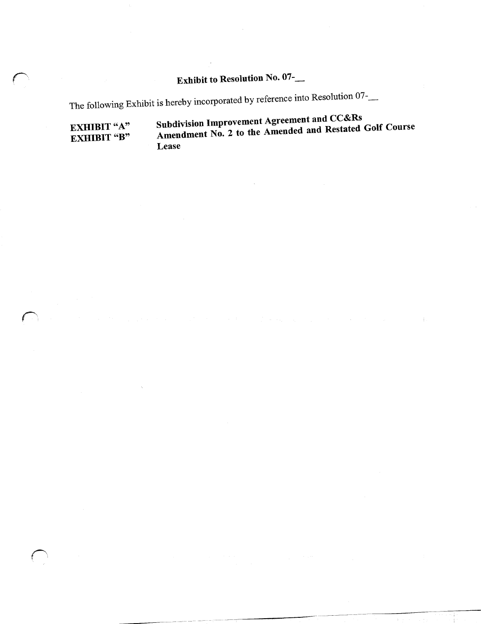### Exhibit to Resolution No. 07-\_\_

The following Exhibit is hereby incorporated by reference into Resolution 07-

EXHIBIT "A" Subdivision Improvement Agreement and CC&Rs<br>EXHIBIT "B" Amendment No. 2 to the Amended and Restated Amendment No. 2 to the Amended and Restated Golf Course Lease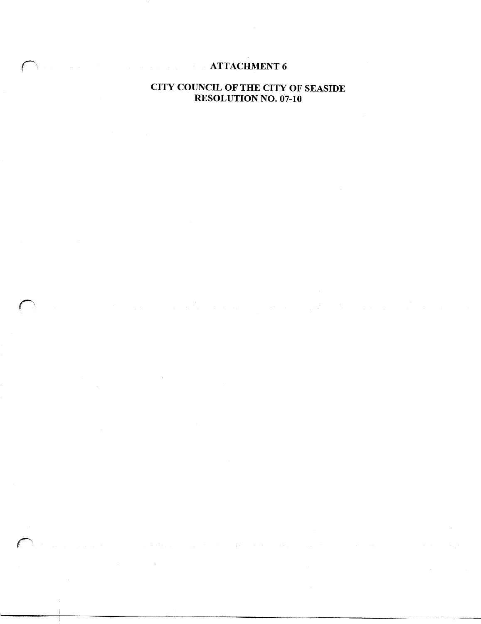### **ATTACHMENT 6**

## CITY COUNCIL OF THE CITY OF SEASIDE UNCIL OF THE CITY OF<br>RESOLUTION NO. 07-10

 $\pm$  :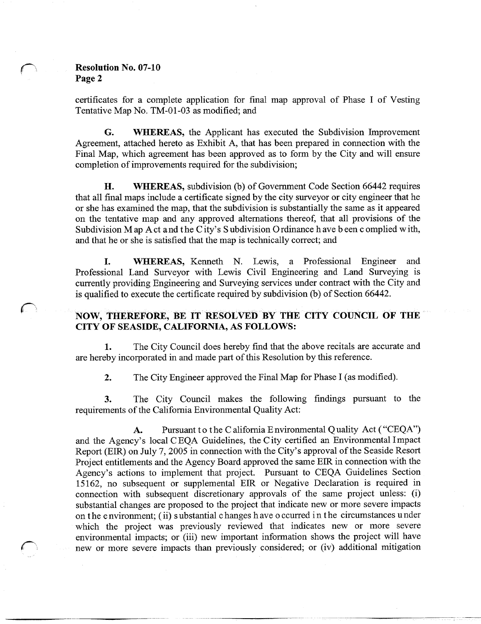### Resolution No. 07-10 Page 2

certificates for a complete application for final map approval of Phase I of Vesting Tentative Map No. TM-01-03 as modified; and

G. WHEREAS, the Applicant has executed the Subdivision Improvement Agreement, attached hereto as Exhibit A, that has been prepared in connection with the Final Map, which agreement has been approved as to form by the City and will ensure completion of improvements required for the subdivision;

H. WHEREAS, subdivision (b) of Government Code Section 66442 requires that all final maps include a certificate signed by the city surveyor or city engineer that he or she has examined the map, that the subdivision is substantially the same as it appeared on the tentative map and any approved alternations thereof, that all provisions of the In the map Subdivision M ap A ct and the City's<br>Subdivision M ap A ct and the City's<br>and that he or she is satisfied that the Subdivision M ap A ct and the City's Subdivision Ordinance have been complied with, and that he or she is satisfied that the map is technically correct; and

I. WHEREAS, Kenneth N. Lewis, a Professional Engineer and Professional Land Surveyor with Lewis Civil Engineering and Land Surveying is currently providing Engineering and Surveying services under contract with the City and is qualified to execute the certificate required by subdivision  $(b)$  of Section 66442. I. WHEREAS, Kenneth N. Lewis, a Professional Engineer and Professional Land Surveyor with Lewis Civil Engineering and Land Surveying is currently providing Engineering and Surveying services under contract with the City an

# CITY OF SEASIDE, CALIFORNIA, AS FOLLOWS:

1. The City Council does hereby find that the above recitals are accurate and are hereby incorporated in and made part of this Resolution by this reference.

2. The City Engineer approved the Final Map for Phase I (as modified).

3. The City Council makes the following findings pursuant to the requirements of the California Environmental Quality Act:

A. Pursuant to the California Environmental Quality Act ("CEQA") 3. The City Council makes the following findings pursuant to the<br>requirements of the California Environmental Quality Act:<br>A. Pursuant to the California Environmental Quality Act ("CEQA")<br>and the Agency's local CEQA Guidel Project entitlements and the Agency Board approved the same EIR in connection with the Agency's actions to implement that project. Pursuant to CEQA Guidelines Section 15162, no subsequent or supplemental EIR or Negative Declaration is required in Agency's actions to implement that project. Pursuant to CEQA Guidelines Section 15162, no subsequent or supplemental EIR or Negative Declaration is required in connection with subsequent discretionary approvals of the same substantial changes are proposed to the project that indicate new or more severe impacts connection with subsequent discretionary approvals of the same project unless: (i) substantial changes are proposed to the project that indicate new or more severe impacts on the environment; (ii) substantial changes h ave which the project was previously reviewed that indicates new or more severe environmental impacts; or (iii) new important information shows the project will have new or more severe impacts than previously considered; or (iv) additional mitigation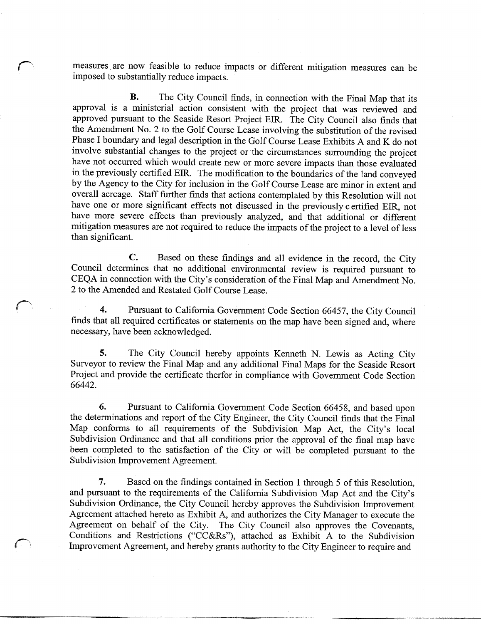measures are now feasible to reduce impacts or different mitigation measures can be imposed to substantially reduce impacts

**B.** The City Council finds, in connection with the Final Map that its approval is a ministerial action consistent with the project that was reviewed and approved pursuant to the Seaside Resort Project EIR. The City Council also finds that the Amendment No. 2 to the Golf Course Lease involving the substitution of the revised Phase I boundary and legal description in the Golf Course Lease Exhibits A and K do not involve substantial changes to the project or the circumstances surrounding the project have not occurred which would create new or mo have not occurred which would create new or more severe impacts than those evaluated in the previously certified EIR. The modification to the boundaries of the land conveyed by the Agency to the City for inclusion in the Golf Course Lease are minor in extent and overall acreage. Staff further finds that actions contemplated by this Resolution will not have one or more significant effects not discussed in the previously certified EIR not have more severe effects than previously analyzed, and that additional or different mitigation measures are not required to reduce the impacts of the project to a level of less than significant.

C. Based on these findings and all evidence in the record, the City Council determines that no additional environmental review is required pursuant to C. Based on thes<br>Council determines that no additic<br>CEQA in connection with the City's<br>2 to the Amended and Restated Golf CEQA in connection with the City's consideration of the Final Map and Amendment No. <sup>2</sup> to the Amended and Restated GolfCourse Lease

4. Pursuant to California Government Code Section 66457, the City Council finds that all required certificates or statements on the map have been signed and, where necessary, have been acknowledged.

5. The City Council hereby appoints Kenneth N. Lewis as Acting City Surveyor to review the Final Map and any additional Final Maps for the Seaside Resort Project and provide the certificate therfor in compliance with Government Code Section 66442

6. Pursuant to California Government Code Section 66458, and based upon the determinations and report of the City Engineer, the City Council finds that the Final 6. Pursuant to California Government Code Section 66458, and based upon<br>the determinations and report of the City Engineer, the City Council finds that the Final<br>Map conforms to all requirements of the Subdivision Map Act, Map conforms to all requirements of the Subdivision Map Act, the City's local been completed to the satisfaction of the City or will be completed pursuant to the Subdivision Improvement Agreement

7. Based on the findings contained in Section 1 through 5 of this Resolution, and pursuant to the Subdivision Ordinance, the City Council hereby approves the Subdivision Improvement reflix and the findings contained in Section 1 through 5 of this Resolution, requirements of the California Subdivision Map Act and the City's ce, the City Council hereby approves the Subdivision Improvement Agreement attached hereto as Exhibit A, and authorizes the City Manager to execute the Agreement on behalf of the City. The City Council also approves the Covenants, Conditions and Restrictions ("CC&Rs"), attached as Exhibit A to the Subdivision Improvement Agreement, and hereby grants authority to the City Engineer to require and